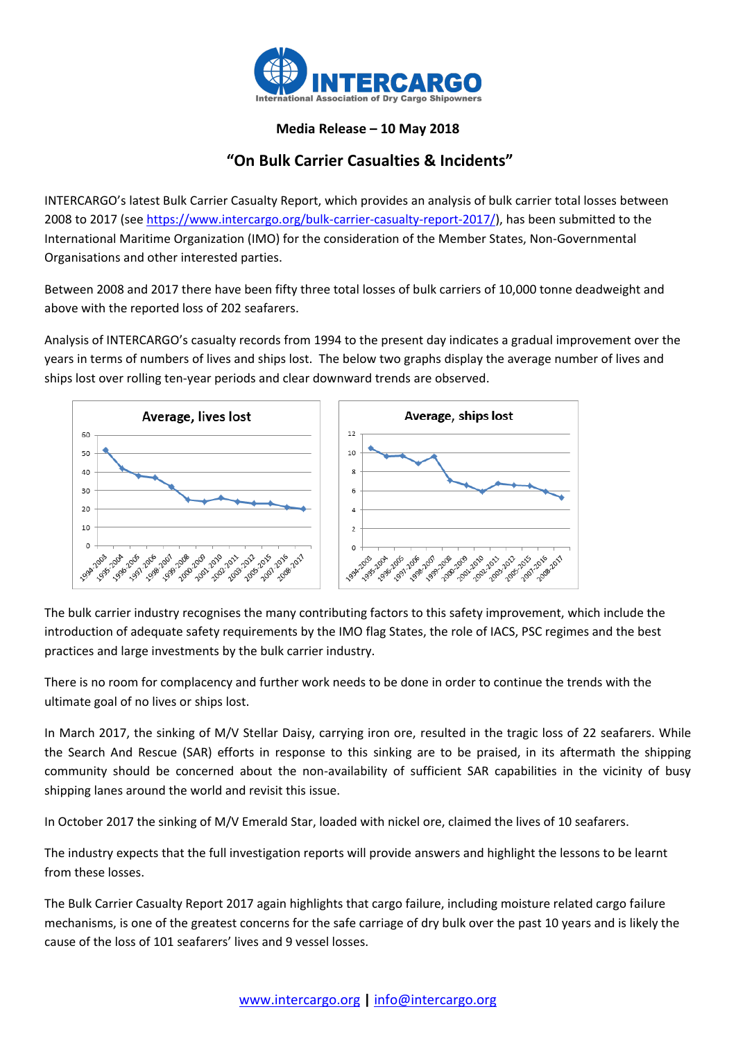

## **Media Release – 10 May 2018**

## **"On Bulk Carrier Casualties & Incidents"**

INTERCARGO's latest Bulk Carrier Casualty Report, which provides an analysis of bulk carrier total losses between 2008 to 2017 (se[e https://www.intercargo.org/bulk-carrier-casualty-report-2017/\)](https://www.intercargo.org/bulk-carrier-casualty-report-2017/), has been submitted to the International Maritime Organization (IMO) for the consideration of the Member States, Non-Governmental Organisations and other interested parties.

Between 2008 and 2017 there have been fifty three total losses of bulk carriers of 10,000 tonne deadweight and above with the reported loss of 202 seafarers.

Analysis of INTERCARGO's casualty records from 1994 to the present day indicates a gradual improvement over the years in terms of numbers of lives and ships lost. The below two graphs display the average number of lives and ships lost over rolling ten-year periods and clear downward trends are observed.



The bulk carrier industry recognises the many contributing factors to this safety improvement, which include the introduction of adequate safety requirements by the IMO flag States, the role of IACS, PSC regimes and the best practices and large investments by the bulk carrier industry.

There is no room for complacency and further work needs to be done in order to continue the trends with the ultimate goal of no lives or ships lost.

In March 2017, the sinking of M/V Stellar Daisy, carrying iron ore, resulted in the tragic loss of 22 seafarers. While the Search And Rescue (SAR) efforts in response to this sinking are to be praised, in its aftermath the shipping community should be concerned about the non-availability of sufficient SAR capabilities in the vicinity of busy shipping lanes around the world and revisit this issue.

In October 2017 the sinking of M/V Emerald Star, loaded with nickel ore, claimed the lives of 10 seafarers.

The industry expects that the full investigation reports will provide answers and highlight the lessons to be learnt from these losses.

The Bulk Carrier Casualty Report 2017 again highlights that cargo failure, including moisture related cargo failure mechanisms, is one of the greatest concerns for the safe carriage of dry bulk over the past 10 years and is likely the cause of the loss of 101 seafarers' lives and 9 vessel losses.